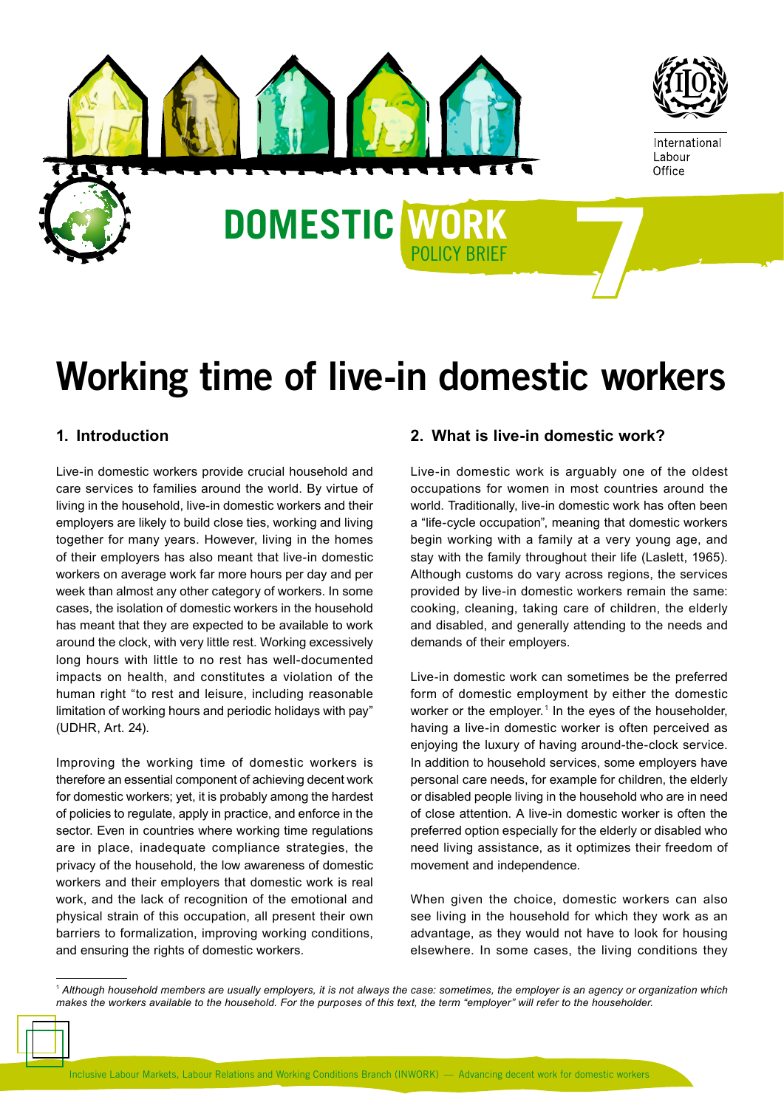

# Working time of live-in domestic workers

# **1. Introduction**

Live-in domestic workers provide crucial household and care services to families around the world. By virtue of living in the household, live-in domestic workers and their employers are likely to build close ties, working and living together for many years. However, living in the homes of their employers has also meant that live-in domestic workers on average work far more hours per day and per week than almost any other category of workers. In some cases, the isolation of domestic workers in the household has meant that they are expected to be available to work around the clock, with very little rest. Working excessively long hours with little to no rest has well-documented impacts on health, and constitutes a violation of the human right "to rest and leisure, including reasonable limitation of working hours and periodic holidays with pay" (UDHR, Art. 24).

Improving the working time of domestic workers is therefore an essential component of achieving decent work for domestic workers; yet, it is probably among the hardest of policies to regulate, apply in practice, and enforce in the sector. Even in countries where working time regulations are in place, inadequate compliance strategies, the privacy of the household, the low awareness of domestic workers and their employers that domestic work is real work, and the lack of recognition of the emotional and physical strain of this occupation, all present their own barriers to formalization, improving working conditions, and ensuring the rights of domestic workers.

## **2. What is live-in domestic work?**

Live-in domestic work is arguably one of the oldest occupations for women in most countries around the world. Traditionally, live-in domestic work has often been a "life-cycle occupation", meaning that domestic workers begin working with a family at a very young age, and stay with the family throughout their life (Laslett, 1965). Although customs do vary across regions, the services provided by live-in domestic workers remain the same: cooking, cleaning, taking care of children, the elderly and disabled, and generally attending to the needs and demands of their employers.

Live-in domestic work can sometimes be the preferred form of domestic employment by either the domestic worker or the employer.<sup>1</sup> In the eyes of the householder, having a live-in domestic worker is often perceived as enjoying the luxury of having around-the-clock service. In addition to household services, some employers have personal care needs, for example for children, the elderly or disabled people living in the household who are in need of close attention. A live-in domestic worker is often the preferred option especially for the elderly or disabled who need living assistance, as it optimizes their freedom of movement and independence.

When given the choice, domestic workers can also see living in the household for which they work as an advantage, as they would not have to look for housing elsewhere. In some cases, the living conditions they

<sup>1</sup> *Although household members are usually employers, it is not always the case: sometimes, the employer is an agency or organization which makes the workers available to the household. For the purposes of this text, the term "employer" will refer to the householder.*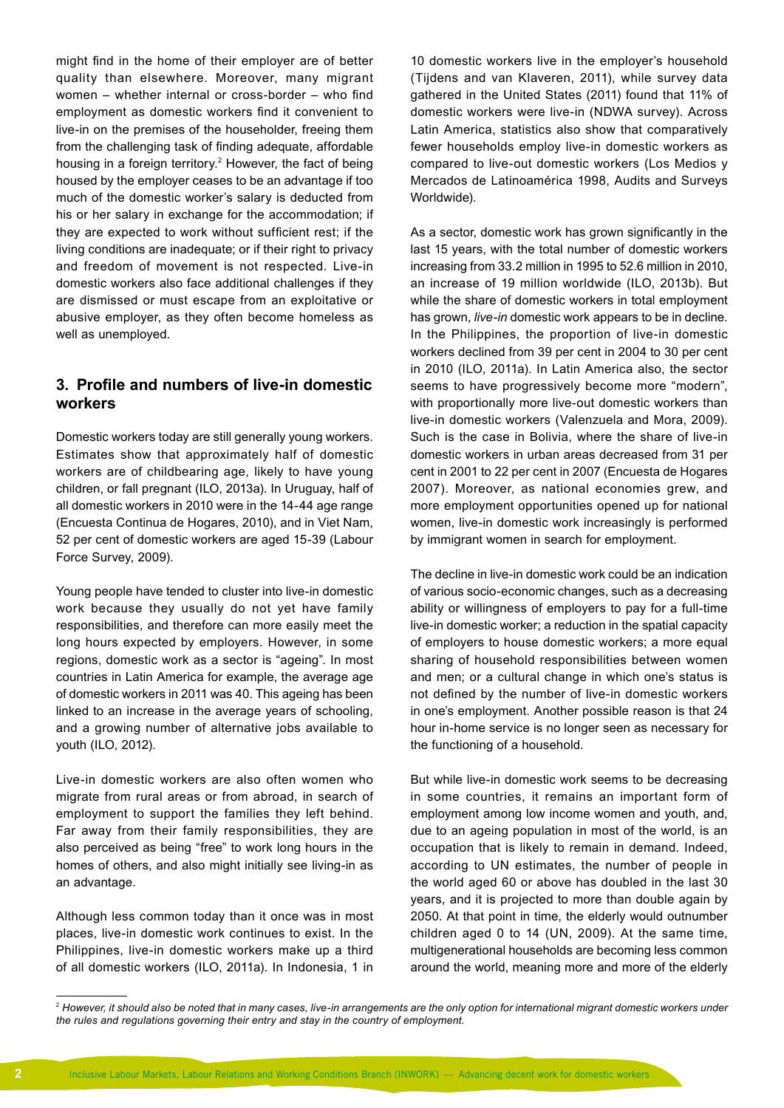might find in the home of their employer are of better quality than elsewhere. Moreover, many migrant women – whether internal or cross-border – who find employment as domestic workers find it convenient to live-in on the premises of the householder, freeing them from the challenging task of finding adequate, affordable housing in a foreign territory.<sup>2</sup> However, the fact of being housed by the employer ceases to be an advantage if too much of the domestic worker's salary is deducted from his or her salary in exchange for the accommodation; if they are expected to work without sufficient rest; if the living conditions are inadequate; or if their right to privacy and freedom of movement is not respected. Live-in domestic workers also face additional challenges if they are dismissed or must escape from an exploitative or abusive employer, as they often become homeless as well as unemployed.

# **3. Profile and numbers of live-in domestic workers**

Domestic workers today are still generally young workers. Estimates show that approximately half of domestic workers are of childbearing age, likely to have young children, or fall pregnant (ILO, 2013a). In Uruguay, half of all domestic workers in 2010 were in the 14-44 age range (Encuesta Continua de Hogares, 2010), and in Viet Nam, 52 per cent of domestic workers are aged 15-39 (Labour Force Survey, 2009).

Young people have tended to cluster into live-in domestic work because they usually do not yet have family responsibilities, and therefore can more easily meet the long hours expected by employers. However, in some regions, domestic work as a sector is "ageing". In most countries in Latin America for example, the average age of domestic workers in 2011 was 40. This ageing has been linked to an increase in the average years of schooling, and a growing number of alternative jobs available to youth (ILO, 2012).

Live-in domestic workers are also often women who migrate from rural areas or from abroad, in search of employment to support the families they left behind. Far away from their family responsibilities, they are also perceived as being "free" to work long hours in the homes of others, and also might initially see living-in as an advantage.

Although less common today than it once was in most places, live-in domestic work continues to exist. In the Philippines, live-in domestic workers make up a third of all domestic workers (ILO, 2011a). In Indonesia, 1 in 10 domestic workers live in the employer's household (Tijdens and van Klaveren, 2011), while survey data gathered in the United States (2011) found that 11% of domestic workers were live-in (NDWA survey). Across Latin America, statistics also show that comparatively fewer households employ live-in domestic workers as compared to live-out domestic workers (Los Medios y Mercados de Latinoamérica 1998, Audits and Surveys Worldwide).

As a sector, domestic work has grown significantly in the last 15 years, with the total number of domestic workers increasing from 33.2 million in 1995 to 52.6 million in 2010, an increase of 19 million worldwide (ILO, 2013b). But while the share of domestic workers in total employment has grown, *live-in* domestic work appears to be in decline. In the Philippines, the proportion of live-in domestic workers declined from 39 per cent in 2004 to 30 per cent in 2010 (ILO, 2011a). In Latin America also, the sector seems to have progressively become more "modern", with proportionally more live-out domestic workers than live-in domestic workers (Valenzuela and Mora, 2009). Such is the case in Bolivia, where the share of live-in domestic workers in urban areas decreased from 31 per cent in 2001 to 22 per cent in 2007 (Encuesta de Hogares 2007). Moreover, as national economies grew, and more employment opportunities opened up for national women, live-in domestic work increasingly is performed by immigrant women in search for employment.

The decline in live-in domestic work could be an indication of various socio-economic changes, such as a decreasing ability or willingness of employers to pay for a full-time live-in domestic worker; a reduction in the spatial capacity of employers to house domestic workers; a more equal sharing of household responsibilities between women and men; or a cultural change in which one's status is not defined by the number of live-in domestic workers in one's employment. Another possible reason is that 24 hour in-home service is no longer seen as necessary for the functioning of a household.

But while live-in domestic work seems to be decreasing in some countries, it remains an important form of employment among low income women and youth, and, due to an ageing population in most of the world, is an occupation that is likely to remain in demand. Indeed, according to UN estimates, the number of people in the world aged 60 or above has doubled in the last 30 years, and it is projected to more than double again by 2050. At that point in time, the elderly would outnumber children aged 0 to 14 (UN, 2009). At the same time, multigenerational households are becoming less common around the world, meaning more and more of the elderly

<sup>&</sup>lt;sup>2</sup> However, it should also be noted that in many cases, live-in arrangements are the only option for international migrant domestic workers under *the rules and regulations governing their entry and stay in the country of employment.*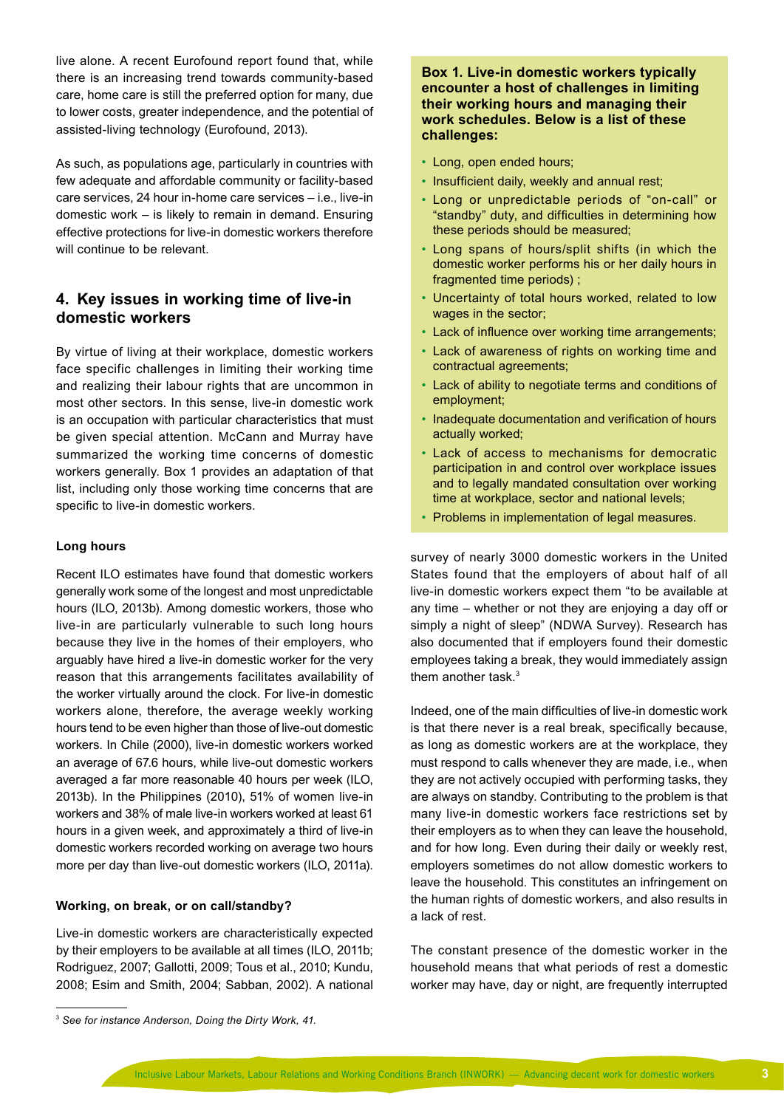live alone. A recent Eurofound report found that, while there is an increasing trend towards community-based care, home care is still the preferred option for many, due to lower costs, greater independence, and the potential of assisted-living technology (Eurofound, 2013).

As such, as populations age, particularly in countries with few adequate and affordable community or facility-based care services, 24 hour in-home care services – i.e., live-in domestic work – is likely to remain in demand. Ensuring effective protections for live-in domestic workers therefore will continue to be relevant.

# **4. Key issues in working time of live-in domestic workers**

By virtue of living at their workplace, domestic workers face specific challenges in limiting their working time and realizing their labour rights that are uncommon in most other sectors. In this sense, live-in domestic work is an occupation with particular characteristics that must be given special attention. McCann and Murray have summarized the working time concerns of domestic workers generally. Box 1 provides an adaptation of that list, including only those working time concerns that are specific to live-in domestic workers.

## **Long hours**

Recent ILO estimates have found that domestic workers generally work some of the longest and most unpredictable hours (ILO, 2013b). Among domestic workers, those who live-in are particularly vulnerable to such long hours because they live in the homes of their employers, who arguably have hired a live-in domestic worker for the very reason that this arrangements facilitates availability of the worker virtually around the clock. For live-in domestic workers alone, therefore, the average weekly working hours tend to be even higher than those of live-out domestic workers. In Chile (2000), live-in domestic workers worked an average of 67.6 hours, while live-out domestic workers averaged a far more reasonable 40 hours per week (ILO, 2013b). In the Philippines (2010), 51% of women live-in workers and 38% of male live-in workers worked at least 61 hours in a given week, and approximately a third of live-in domestic workers recorded working on average two hours more per day than live-out domestic workers (ILO, 2011a).

#### **Working, on break, or on call/standby?**

Live-in domestic workers are characteristically expected by their employers to be available at all times (ILO, 2011b; Rodriguez, 2007; Gallotti, 2009; Tous et al., 2010; Kundu, 2008; Esim and Smith, 2004; Sabban, 2002). A national

- Long, open ended hours;
- Insufficient daily, weekly and annual rest;
- Long or unpredictable periods of "on-call" or "standby" duty, and difficulties in determining how these periods should be measured;
- Long spans of hours/split shifts (in which the domestic worker performs his or her daily hours in fragmented time periods) ;
- Uncertainty of total hours worked, related to low wages in the sector;
- Lack of influence over working time arrangements;
- Lack of awareness of rights on working time and contractual agreements;
- Lack of ability to negotiate terms and conditions of employment;
- Inadequate documentation and verification of hours actually worked;
- Lack of access to mechanisms for democratic participation in and control over workplace issues and to legally mandated consultation over working time at workplace, sector and national levels;
- Problems in implementation of legal measures.

survey of nearly 3000 domestic workers in the United States found that the employers of about half of all live-in domestic workers expect them "to be available at any time – whether or not they are enjoying a day off or simply a night of sleep" (NDWA Survey). Research has also documented that if employers found their domestic employees taking a break, they would immediately assign them another task.<sup>3</sup>

Indeed, one of the main difficulties of live-in domestic work is that there never is a real break, specifically because, as long as domestic workers are at the workplace, they must respond to calls whenever they are made, i.e., when they are not actively occupied with performing tasks, they are always on standby. Contributing to the problem is that many live-in domestic workers face restrictions set by their employers as to when they can leave the household, and for how long. Even during their daily or weekly rest, employers sometimes do not allow domestic workers to leave the household. This constitutes an infringement on the human rights of domestic workers, and also results in a lack of rest.

The constant presence of the domestic worker in the household means that what periods of rest a domestic worker may have, day or night, are frequently interrupted

**Box 1. Live-in domestic workers typically encounter a host of challenges in limiting their working hours and managing their work schedules. Below is a list of these challenges:**

<sup>3</sup> *See for instance Anderson, Doing the Dirty Work, 41.*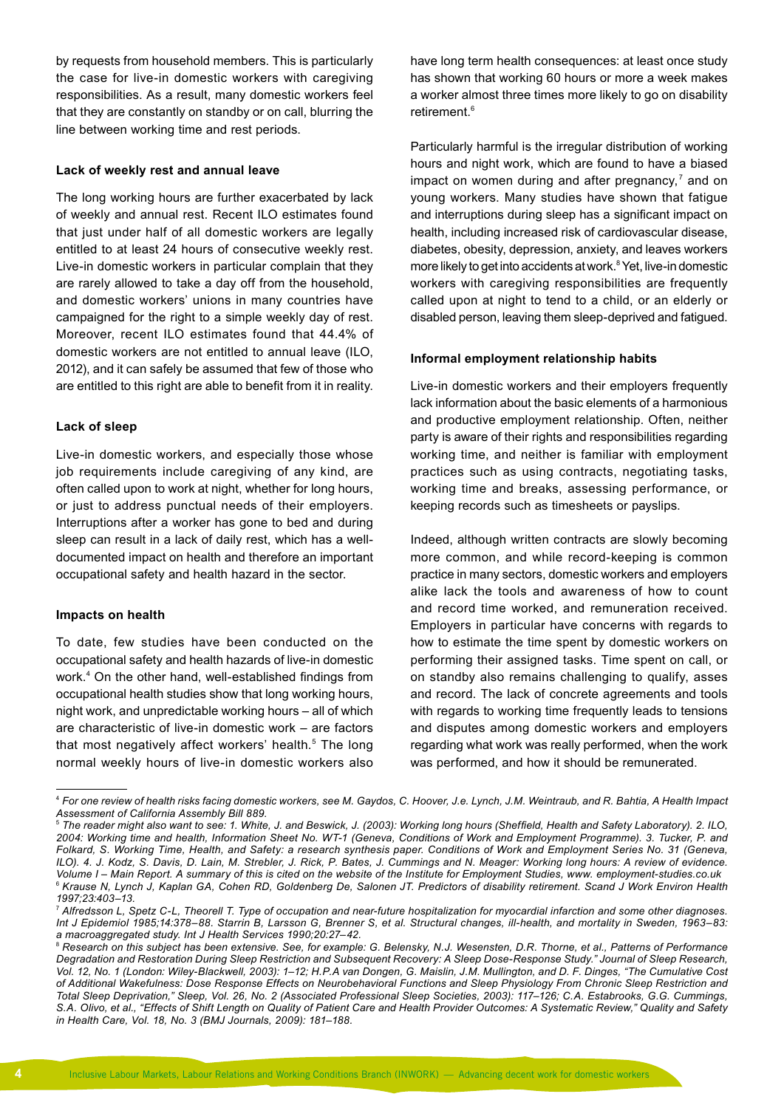by requests from household members. This is particularly the case for live-in domestic workers with caregiving responsibilities. As a result, many domestic workers feel that they are constantly on standby or on call, blurring the line between working time and rest periods.

#### **Lack of weekly rest and annual leave**

The long working hours are further exacerbated by lack of weekly and annual rest. Recent ILO estimates found that just under half of all domestic workers are legally entitled to at least 24 hours of consecutive weekly rest. Live-in domestic workers in particular complain that they are rarely allowed to take a day off from the household, and domestic workers' unions in many countries have campaigned for the right to a simple weekly day of rest. Moreover, recent ILO estimates found that 44.4% of domestic workers are not entitled to annual leave (ILO, 2012), and it can safely be assumed that few of those who are entitled to this right are able to benefit from it in reality.

#### **Lack of sleep**

Live-in domestic workers, and especially those whose job requirements include caregiving of any kind, are often called upon to work at night, whether for long hours, or just to address punctual needs of their employers. Interruptions after a worker has gone to bed and during sleep can result in a lack of daily rest, which has a welldocumented impact on health and therefore an important occupational safety and health hazard in the sector.

#### **Impacts on health**

To date, few studies have been conducted on the occupational safety and health hazards of live-in domestic work.4 On the other hand, well-established findings from occupational health studies show that long working hours, night work, and unpredictable working hours – all of which are characteristic of live-in domestic work – are factors that most negatively affect workers' health.<sup>5</sup> The long normal weekly hours of live-in domestic workers also

have long term health consequences: at least once study has shown that working 60 hours or more a week makes a worker almost three times more likely to go on disability retirement<sup>6</sup>

Particularly harmful is the irregular distribution of working hours and night work, which are found to have a biased impact on women during and after pregnancy, $<sup>7</sup>$  and on</sup> young workers. Many studies have shown that fatigue and interruptions during sleep has a significant impact on health, including increased risk of cardiovascular disease, diabetes, obesity, depression, anxiety, and leaves workers more likely to get into accidents at work.<sup>8</sup> Yet, live-in domestic workers with caregiving responsibilities are frequently called upon at night to tend to a child, or an elderly or disabled person, leaving them sleep-deprived and fatigued.

#### **Informal employment relationship habits**

Live-in domestic workers and their employers frequently lack information about the basic elements of a harmonious and productive employment relationship. Often, neither party is aware of their rights and responsibilities regarding working time, and neither is familiar with employment practices such as using contracts, negotiating tasks, working time and breaks, assessing performance, or keeping records such as timesheets or payslips.

Indeed, although written contracts are slowly becoming more common, and while record-keeping is common practice in many sectors, domestic workers and employers alike lack the tools and awareness of how to count and record time worked, and remuneration received. Employers in particular have concerns with regards to how to estimate the time spent by domestic workers on performing their assigned tasks. Time spent on call, or on standby also remains challenging to qualify, asses and record. The lack of concrete agreements and tools with regards to working time frequently leads to tensions and disputes among domestic workers and employers regarding what work was really performed, when the work was performed, and how it should be remunerated.

<sup>4</sup> *For one review of health risks facing domestic workers, see M. Gaydos, C. Hoover, J.e. Lynch, J.M. Weintraub, and R. Bahtia, A Health Impact Assessment of California Assembly Bill 889.*

<sup>5</sup> *The reader might also want to see: 1. White, J. and Beswick, J. (2003): Working long hours (Sheffield, Health and Safety Laboratory). 2. ILO, 2004: Working time and health, Information Sheet No. WT-1 (Geneva, Conditions of Work and Employment Programme). 3. Tucker, P. and Folkard, S. Working Time, Health, and Safety: a research synthesis paper. Conditions of Work and Employment Series No. 31 (Geneva, ILO). 4. J. Kodz, S. Davis, D. Lain, M. Strebler, J. Rick, P. Bates, J. Cummings and N. Meager: Working long hours: A review of evidence. Volume I – Main Report. A summary of this is cited on the website of the Institute for Employment Studies, www. employment-studies.co.uk* <sup>6</sup> *Krause N, Lynch J, Kaplan GA, Cohen RD, Goldenberg De, Salonen JT. Predictors of disability retirement. Scand J Work Environ Health 1997;23:403–13.*

<sup>&</sup>lt;sup>7</sup> Alfredsson L, Spetz C-L, Theorell T. Type of occupation and near-future hospitalization for myocardial infarction and some other diagnoses. *Int J Epidemiol 1985;14:378–88. Starrin B, Larsson G, Brenner S, et al. Structural changes, ill-health, and mortality in Sweden, 1963–83: a macroaggregated study. Int J Health Services 1990;20:27–42.*

<sup>8</sup> *Research on this subject has been extensive. See, for example: G. Belensky, N.J. Wesensten, D.R. Thorne, et al., Patterns of Performance Degradation and Restoration During Sleep Restriction and Subsequent Recovery: A Sleep Dose-Response Study." Journal of Sleep Research, Vol. 12, No. 1 (London: Wiley-Blackwell, 2003): 1–12; H.P.A van Dongen, G. Maislin, J.M. Mullington, and D. F. Dinges, "The Cumulative Cost of Additional Wakefulness: Dose Response Effects on Neurobehavioral Functions and Sleep Physiology From Chronic Sleep Restriction and Total Sleep Deprivation," Sleep, Vol. 26, No. 2 (Associated Professional Sleep Societies, 2003): 117–126; C.A. Estabrooks, G.G. Cummings, S.A. Olivo, et al., "Effects of Shift Length on Quality of Patient Care and Health Provider Outcomes: A Systematic Review," Quality and Safety in Health Care, Vol. 18, No. 3 (BMJ Journals, 2009): 181–188.*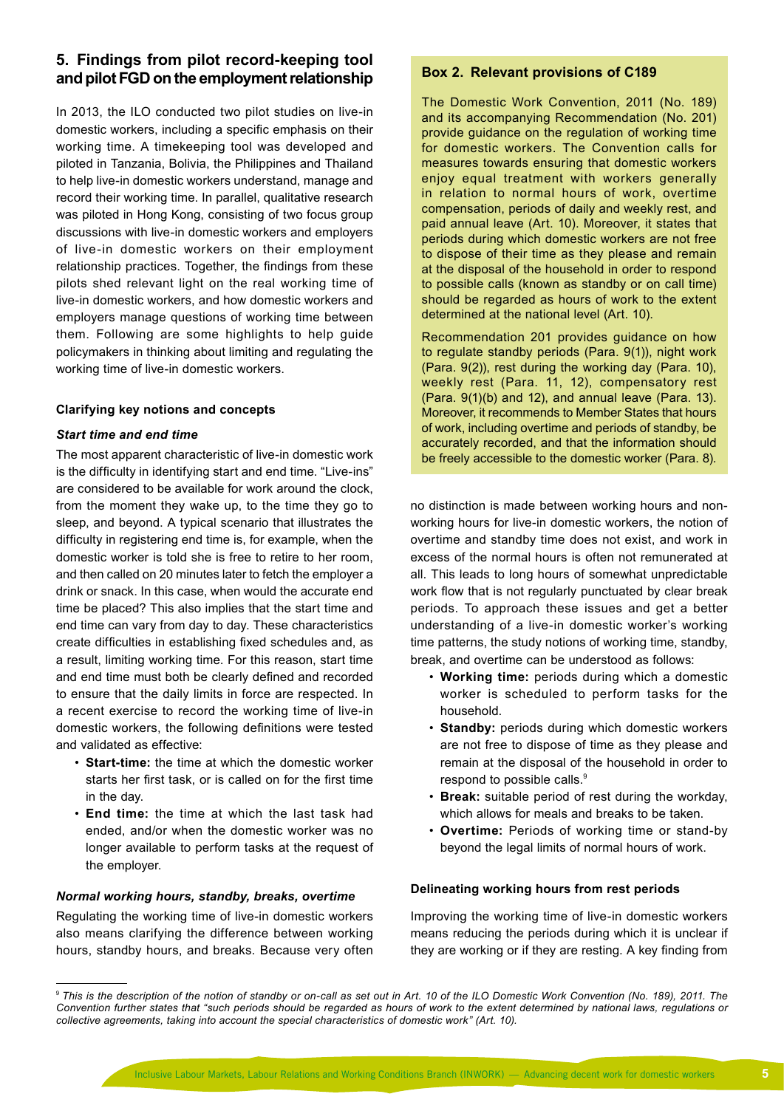# **5. Findings from pilot record-keeping tool and pilot FGD on the employment relationship**

In 2013, the ILO conducted two pilot studies on live-in domestic workers, including a specific emphasis on their working time. A timekeeping tool was developed and piloted in Tanzania, Bolivia, the Philippines and Thailand to help live-in domestic workers understand, manage and record their working time. In parallel, qualitative research was piloted in Hong Kong, consisting of two focus group discussions with live-in domestic workers and employers of live-in domestic workers on their employment relationship practices. Together, the findings from these pilots shed relevant light on the real working time of live-in domestic workers, and how domestic workers and employers manage questions of working time between them. Following are some highlights to help guide policymakers in thinking about limiting and regulating the working time of live-in domestic workers.

## **Clarifying key notions and concepts**

## *Start time and end time*

The most apparent characteristic of live-in domestic work is the difficulty in identifying start and end time. "Live-ins" are considered to be available for work around the clock, from the moment they wake up, to the time they go to sleep, and beyond. A typical scenario that illustrates the difficulty in registering end time is, for example, when the domestic worker is told she is free to retire to her room, and then called on 20 minutes later to fetch the employer a drink or snack. In this case, when would the accurate end time be placed? This also implies that the start time and end time can vary from day to day. These characteristics create difficulties in establishing fixed schedules and, as a result, limiting working time. For this reason, start time and end time must both be clearly defined and recorded to ensure that the daily limits in force are respected. In a recent exercise to record the working time of live-in domestic workers, the following definitions were tested and validated as effective:

- **Start-time:** the time at which the domestic worker starts her first task, or is called on for the first time in the day.
- **End time:** the time at which the last task had ended, and/or when the domestic worker was no longer available to perform tasks at the request of the employer.

#### *Normal working hours, standby, breaks, overtime*

Regulating the working time of live-in domestic workers also means clarifying the difference between working hours, standby hours, and breaks. Because very often

## **Box 2. Relevant provisions of C189**

The Domestic Work Convention, 2011 (No. 189) and its accompanying Recommendation (No. 201) provide guidance on the regulation of working time for domestic workers. The Convention calls for measures towards ensuring that domestic workers enjoy equal treatment with workers generally in relation to normal hours of work, overtime compensation, periods of daily and weekly rest, and paid annual leave (Art. 10). Moreover, it states that periods during which domestic workers are not free to dispose of their time as they please and remain at the disposal of the household in order to respond to possible calls (known as standby or on call time) should be regarded as hours of work to the extent determined at the national level (Art. 10).

Recommendation 201 provides guidance on how to regulate standby periods (Para. 9(1)), night work (Para. 9(2)), rest during the working day (Para. 10), weekly rest (Para. 11, 12), compensatory rest (Para. 9(1)(b) and 12), and annual leave (Para. 13). Moreover, it recommends to Member States that hours of work, including overtime and periods of standby, be accurately recorded, and that the information should be freely accessible to the domestic worker (Para. 8).

no distinction is made between working hours and nonworking hours for live-in domestic workers, the notion of overtime and standby time does not exist, and work in excess of the normal hours is often not remunerated at all. This leads to long hours of somewhat unpredictable work flow that is not regularly punctuated by clear break periods. To approach these issues and get a better understanding of a live-in domestic worker's working time patterns, the study notions of working time, standby, break, and overtime can be understood as follows:

- **Working time:** periods during which a domestic worker is scheduled to perform tasks for the household.
- **Standby:** periods during which domestic workers are not free to dispose of time as they please and remain at the disposal of the household in order to respond to possible calls.<sup>9</sup>
- **Break:** suitable period of rest during the workday, which allows for meals and breaks to be taken.
- **Overtime:** Periods of working time or stand-by beyond the legal limits of normal hours of work.

#### **Delineating working hours from rest periods**

Improving the working time of live-in domestic workers means reducing the periods during which it is unclear if they are working or if they are resting. A key finding from

<sup>9</sup> *This is the description of the notion of standby or on-call as set out in Art. 10 of the ILO Domestic Work Convention (No. 189), 2011. The Convention further states that "such periods should be regarded as hours of work to the extent determined by national laws, regulations or collective agreements, taking into account the special characteristics of domestic work" (Art. 10).*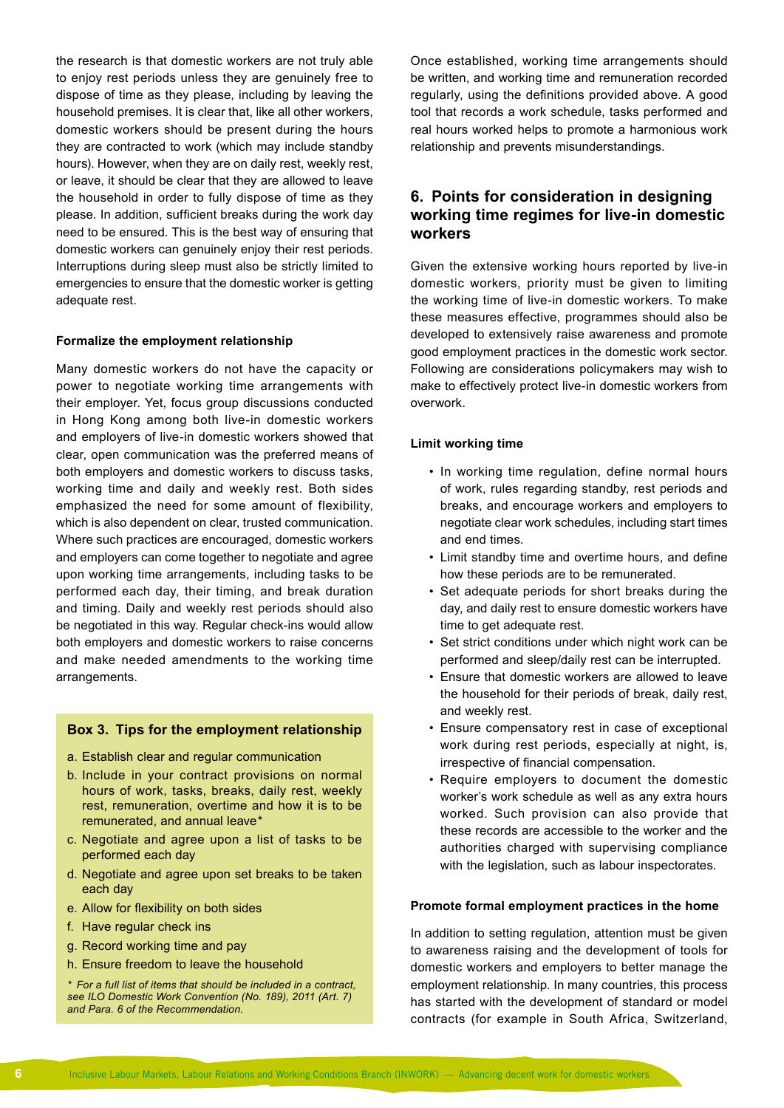the research is that domestic workers are not truly able to enjoy rest periods unless they are genuinely free to dispose of time as they please, including by leaving the household premises. It is clear that, like all other workers, domestic workers should be present during the hours they are contracted to work (which may include standby hours). However, when they are on daily rest, weekly rest, or leave, it should be clear that they are allowed to leave the household in order to fully dispose of time as they please. In addition, sufficient breaks during the work day need to be ensured. This is the best way of ensuring that domestic workers can genuinely enjoy their rest periods. Interruptions during sleep must also be strictly limited to emergencies to ensure that the domestic worker is getting adequate rest.

#### **Formalize the employment relationship**

Many domestic workers do not have the capacity or power to negotiate working time arrangements with their employer. Yet, focus group discussions conducted in Hong Kong among both live-in domestic workers and employers of live-in domestic workers showed that clear, open communication was the preferred means of both employers and domestic workers to discuss tasks, working time and daily and weekly rest. Both sides emphasized the need for some amount of flexibility, which is also dependent on clear, trusted communication. Where such practices are encouraged, domestic workers and employers can come together to negotiate and agree upon working time arrangements, including tasks to be performed each day, their timing, and break duration and timing. Daily and weekly rest periods should also be negotiated in this way. Regular check-ins would allow both employers and domestic workers to raise concerns and make needed amendments to the working time arrangements.

## **Box 3. Tips for the employment relationship**

- a. Establish clear and regular communication
- b. Include in your contract provisions on normal hours of work, tasks, breaks, daily rest, weekly rest, remuneration, overtime and how it is to be remunerated, and annual leave<sup>\*</sup>
- c. Negotiate and agree upon a list of tasks to be performed each day
- d. Negotiate and agree upon set breaks to be taken each day
- e. Allow for flexibility on both sides
- f. Have regular check ins
- g. Record working time and pay
- h. Ensure freedom to leave the household

*\* For a full list of items that should be included in a contract, see ILO Domestic Work Convention (No. 189), 2011 (Art. 7) and Para. 6 of the Recommendation.*

Once established, working time arrangements should be written, and working time and remuneration recorded regularly, using the definitions provided above. A good tool that records a work schedule, tasks performed and real hours worked helps to promote a harmonious work relationship and prevents misunderstandings.

# **6. Points for consideration in designing working time regimes for live-in domestic workers**

Given the extensive working hours reported by live-in domestic workers, priority must be given to limiting the working time of live-in domestic workers. To make these measures effective, programmes should also be developed to extensively raise awareness and promote good employment practices in the domestic work sector. Following are considerations policymakers may wish to make to effectively protect live-in domestic workers from overwork.

#### **Limit working time**

- In working time regulation, define normal hours of work, rules regarding standby, rest periods and breaks, and encourage workers and employers to negotiate clear work schedules, including start times and end times.
- Limit standby time and overtime hours, and define how these periods are to be remunerated.
- Set adequate periods for short breaks during the day, and daily rest to ensure domestic workers have time to get adequate rest.
- Set strict conditions under which night work can be performed and sleep/daily rest can be interrupted.
- Ensure that domestic workers are allowed to leave the household for their periods of break, daily rest, and weekly rest.
- Ensure compensatory rest in case of exceptional work during rest periods, especially at night, is, irrespective of financial compensation.
- Require employers to document the domestic worker's work schedule as well as any extra hours worked. Such provision can also provide that these records are accessible to the worker and the authorities charged with supervising compliance with the legislation, such as labour inspectorates.

#### **Promote formal employment practices in the home**

In addition to setting regulation, attention must be given to awareness raising and the development of tools for domestic workers and employers to better manage the employment relationship. In many countries, this process has started with the development of standard or model contracts (for example in South Africa, Switzerland,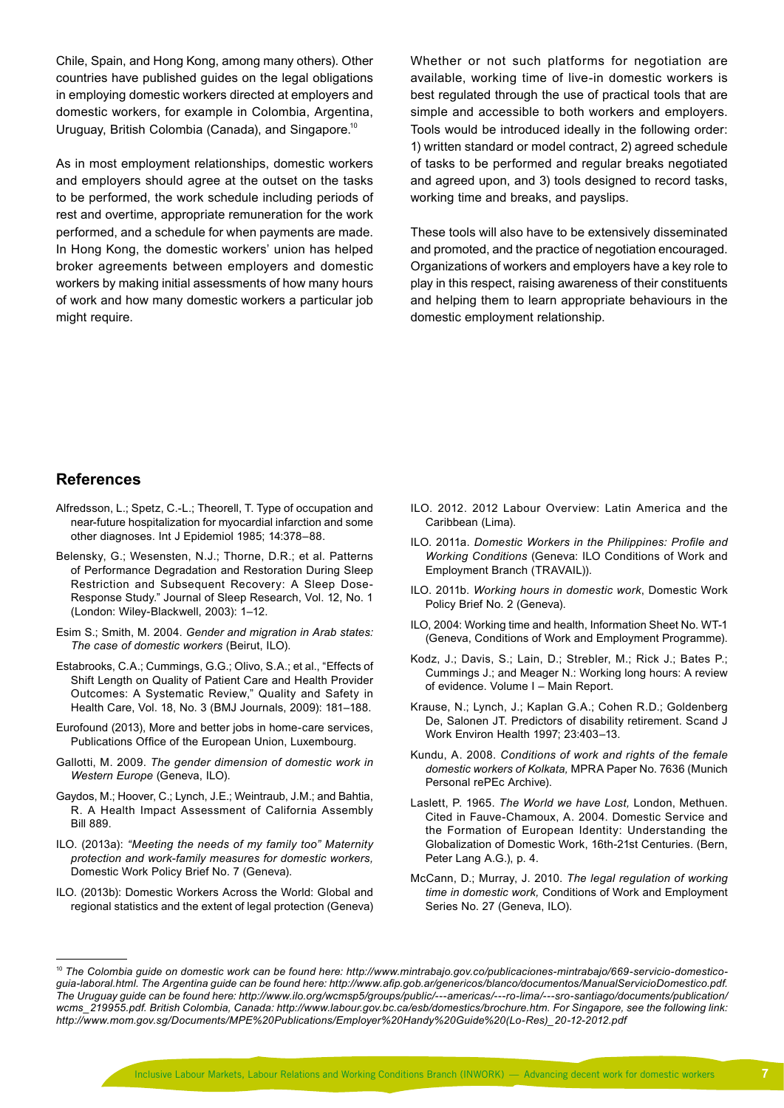Chile, Spain, and Hong Kong, among many others). Other countries have published guides on the legal obligations in employing domestic workers directed at employers and domestic workers, for example in Colombia, Argentina, Uruguay, British Colombia (Canada), and Singapore.10

As in most employment relationships, domestic workers and employers should agree at the outset on the tasks to be performed, the work schedule including periods of rest and overtime, appropriate remuneration for the work performed, and a schedule for when payments are made. In Hong Kong, the domestic workers' union has helped broker agreements between employers and domestic workers by making initial assessments of how many hours of work and how many domestic workers a particular job might require.

Whether or not such platforms for negotiation are available, working time of live-in domestic workers is best regulated through the use of practical tools that are simple and accessible to both workers and employers. Tools would be introduced ideally in the following order: 1) written standard or model contract, 2) agreed schedule of tasks to be performed and regular breaks negotiated and agreed upon, and 3) tools designed to record tasks, working time and breaks, and payslips.

These tools will also have to be extensively disseminated and promoted, and the practice of negotiation encouraged. Organizations of workers and employers have a key role to play in this respect, raising awareness of their constituents and helping them to learn appropriate behaviours in the domestic employment relationship.

## **References**

- Alfredsson, L.; Spetz, C.-L.; Theorell, T. Type of occupation and near-future hospitalization for myocardial infarction and some other diagnoses. Int J Epidemiol 1985; 14:378–88.
- Belensky, G.; Wesensten, N.J.; Thorne, D.R.; et al. Patterns of Performance Degradation and Restoration During Sleep Restriction and Subsequent Recovery: A Sleep Dose-Response Study." Journal of Sleep Research, Vol. 12, No. 1 (London: Wiley-Blackwell, 2003): 1–12.
- Esim S.; Smith, M. 2004. *Gender and migration in Arab states: The case of domestic workers* (Beirut, ILO).
- Estabrooks, C.A.; Cummings, G.G.; Olivo, S.A.; et al., "Effects of Shift Length on Quality of Patient Care and Health Provider Outcomes: A Systematic Review," Quality and Safety in Health Care, Vol. 18, No. 3 (BMJ Journals, 2009): 181–188.
- Eurofound (2013), More and better jobs in home-care services, Publications Office of the European Union, Luxembourg.
- Gallotti, M. 2009. *The gender dimension of domestic work in Western Europe* (Geneva, ILO).
- Gaydos, M.; Hoover, C.; Lynch, J.E.; Weintraub, J.M.; and Bahtia, R. A Health Impact Assessment of California Assembly Bill 889.
- ILO. (2013a): *"Meeting the needs of my family too" Maternity protection and work-family measures for domestic workers,*  Domestic Work Policy Brief No. 7 (Geneva).
- ILO. (2013b): Domestic Workers Across the World: Global and regional statistics and the extent of legal protection (Geneva)
- ILO. 2012. 2012 Labour Overview: Latin America and the Caribbean (Lima).
- ILO. 2011a. *Domestic Workers in the Philippines: Profile and Working Conditions* (Geneva: ILO Conditions of Work and Employment Branch (TRAVAIL)).
- ILO. 2011b. *Working hours in domestic work*, Domestic Work Policy Brief No. 2 (Geneva).
- ILO, 2004: Working time and health, Information Sheet No. WT-1 (Geneva, Conditions of Work and Employment Programme).
- Kodz, J.; Davis, S.; Lain, D.; Strebler, M.; Rick J.; Bates P.; Cummings J.; and Meager N.: Working long hours: A review of evidence. Volume I – Main Report.
- Krause, N.; Lynch, J.; Kaplan G.A.; Cohen R.D.; Goldenberg De, Salonen JT. Predictors of disability retirement. Scand J Work Environ Health 1997; 23:403–13.
- Kundu, A. 2008. *Conditions of work and rights of the female domestic workers of Kolkata,* MPRA Paper No. 7636 (Munich Personal rePEc Archive).
- Laslett, P. 1965. *The World we have Lost,* London, Methuen. Cited in Fauve-Chamoux, A. 2004. Domestic Service and the Formation of European Identity: Understanding the Globalization of Domestic Work, 16th-21st Centuries. (Bern, Peter Lang A.G.), p. 4.
- McCann, D.; Murray, J. 2010. *The legal regulation of working time in domestic work,* Conditions of Work and Employment Series No. 27 (Geneva, ILO).

<sup>&</sup>lt;sup>10</sup> The Colombia guide on domestic work can be found here: [http://www.mintrabajo.gov.co/publicaciones-mintrabajo/669-servicio-domestico](http://www.mintrabajo.gov.co/publicaciones-mintrabajo/669-servicio-domestico-guia-laboral.html)*[guia-laboral.html](http://www.mintrabajo.gov.co/publicaciones-mintrabajo/669-servicio-domestico-guia-laboral.html). The Argentina guide can be found here: <http://www.afip.gob.ar/genericos/blanco/documentos/ManualServicioDomestico.pdf>. The Uruguay guide can be found here: [http://www.ilo.org/wcmsp5/groups/public/---americas/---ro-lima/---sro-santiago/documents/publication/](http://www.ilo.org/wcmsp5/groups/public/---americas/---ro-lima/---sro-santiago/documents/publication/wcms_219955.pdf) [wcms\\_219955.pdf](http://www.ilo.org/wcmsp5/groups/public/---americas/---ro-lima/---sro-santiago/documents/publication/wcms_219955.pdf). British Colombia, Canada: [http://www.labour.gov.bc.ca/esb/domestics/brochure.htm.](http://www.labour.gov.bc.ca/esb/domestics/brochure.htm) For Singapore, see the following link: [http://www.mom.gov.sg/Documents/MPE%20Publications/Employer%20Handy%20Guide%20\(Lo-Res\)\\_20-12-2012.pdf](http://www.mom.gov.sg/Documents/MPE%20Publications/Employer%20Handy%20Guide%20(Lo-Res)_20-12-2012.pdf)*